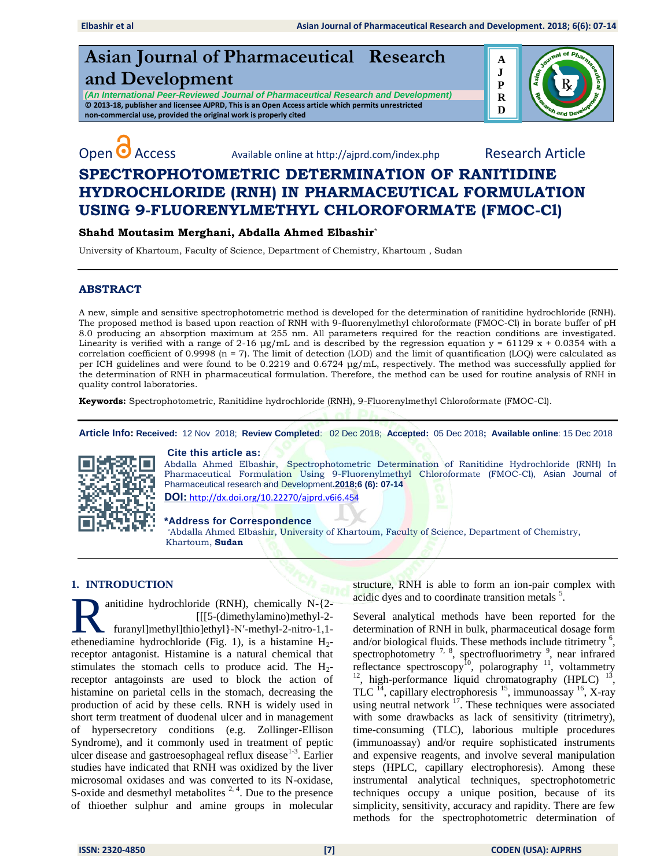# **Asian Journal of Pharmaceutical Research and Development**

*(An International Peer-Reviewed Journal of Pharmaceutical Research and Development)* **© 2013-18, publisher and licensee AJPRD, This is an Open Access article which permits unrestricted non-commercial use, provided the original work is properly cited**



Open <sup>O</sup> Access Available online at http://ajprd.com/index.php Research Article

## **SPECTROPHOTOMETRIC DETERMINATION OF RANITIDINE HYDROCHLORIDE (RNH) IN PHARMACEUTICAL FORMULATION USING 9-FLUORENYLMETHYL CHLOROFORMATE (FMOC-Cl)**

## **Shahd Moutasim Merghani, Abdalla Ahmed Elbashir**\*

University of Khartoum, Faculty of Science, Department of Chemistry, Khartoum , Sudan

## **ABSTRACT**

A new, simple and sensitive spectrophotometric method is developed for the determination of ranitidine hydrochloride (RNH). The proposed method is based upon reaction of RNH with 9-fluorenylmethyl chloroformate (FMOC-Cl) in borate buffer of pH 8.0 producing an absorption maximum at 255 nm. All parameters required for the reaction conditions are investigated. Linearity is verified with a range of 2-16  $\mu$ g/mL and is described by the regression equation y = 61129 x + 0.0354 with a correlation coefficient of 0.9998 ( $n = 7$ ). The limit of detection (LOD) and the limit of quantification (LOQ) were calculated as per ICH guidelines and were found to be 0.2219 and 0.6724 μg/mL, respectively. The method was successfully applied for the determination of RNH in pharmaceutical formulation. Therefore, the method can be used for routine analysis of RNH in quality control laboratories.

**Keywords:** Spectrophotometric, Ranitidine hydrochloride (RNH), 9-Fluorenylmethyl Chloroformate (FMOC-Cl).

**Article Info: Received:** 12 Nov 2018; **Review Completed**: 02 Dec 2018; **Accepted:** 05 Dec 2018**; Available online**: 15 Dec 2018



### **Cite this article as:**

Abdalla Ahmed Elbashir, Spectrophotometric Determination of Ranitidine Hydrochloride (RNH) In Pharmaceutical Formulation Using 9-Fluorenylmethyl Chloroformate (FMOC-Cl), Asian Journal of Pharmaceutical research and Development**.2018;6 (6): 07-14** 

**DOI:** [http://dx.doi.org/10.22270/ajprd.v6i6.](http://dx.doi.org/10.22270/ajprd.v6i6.454)454

### **\*Address for Correspondence**

 \*Abdalla Ahmed Elbashir, University of Khartoum, Faculty of Science, Department of Chemistry, Khartoum, **Sudan**

## **1. INTRODUCTION**

anitidine hydrochloride (RNH), chemically N-{2- [[[5-(dimethylamino)methyl-2 furanyl]methyl]thio]ethyl}-N′-methyl-2-nitro-1,1 anitidine hydrochloride (RNH), chemically N-{2-<br>
[[[5-(dimethylamino)methyl-2-<br>
furanyl]methyl]thio]ethyl}-N'-methyl-2-nitro-1,1-<br>
ethenediamine hydrochloride (Fig. 1), is a histamine H<sub>2</sub>receptor antagonist. Histamine is a natural chemical that stimulates the stomach cells to produce acid. The  $H_2$ receptor antagoinsts are used to block the action of histamine on parietal cells in the stomach, decreasing the production of acid by these cells. RNH is widely used in short term treatment of duodenal ulcer and in management of hypersecretory conditions (e.g. Zollinger-Ellison Syndrome), and it commonly used in treatment of peptic ulcer disease and gastroesophageal reflux disease<sup>1-3</sup>. Earlier studies have indicated that RNH was oxidized by the liver microsomal oxidases and was converted to its N-oxidase, S-oxide and desmethyl metabolites  $2, 4$ . Due to the presence of thioether sulphur and amine groups in molecular

structure, RNH is able to form an ion-pair complex with acidic dyes and to coordinate transition metals<sup>5</sup>.

Several analytical methods have been reported for the determination of RNH in bulk, pharmaceutical dosage form and/or biological fluids. These methods include titrimetry  $<sup>6</sup>$ ,</sup> spectrophotometry  $\frac{7}{6}$ , spectrofluorimetry  $\frac{9}{6}$ , near infrared reflectance spectroscopy<sup>10</sup>, polarography  $11$ , voltammetry  $12$ , high-performance liquid chromatography (HPLC)  $13$ , TLC  $^{14}$ , capillary electrophoresis  $^{15}$ , immunoassay  $^{16}$ , X-ray using neutral network <sup>17</sup>. These techniques were associated with some drawbacks as lack of sensitivity (titrimetry), time-consuming (TLC), laborious multiple procedures (immunoassay) and/or require sophisticated instruments and expensive reagents, and involve several manipulation steps (HPLC, capillary electrophoresis). Among these instrumental analytical techniques, spectrophotometric techniques occupy a unique position, because of its simplicity, sensitivity, accuracy and rapidity. There are few methods for the spectrophotometric determination of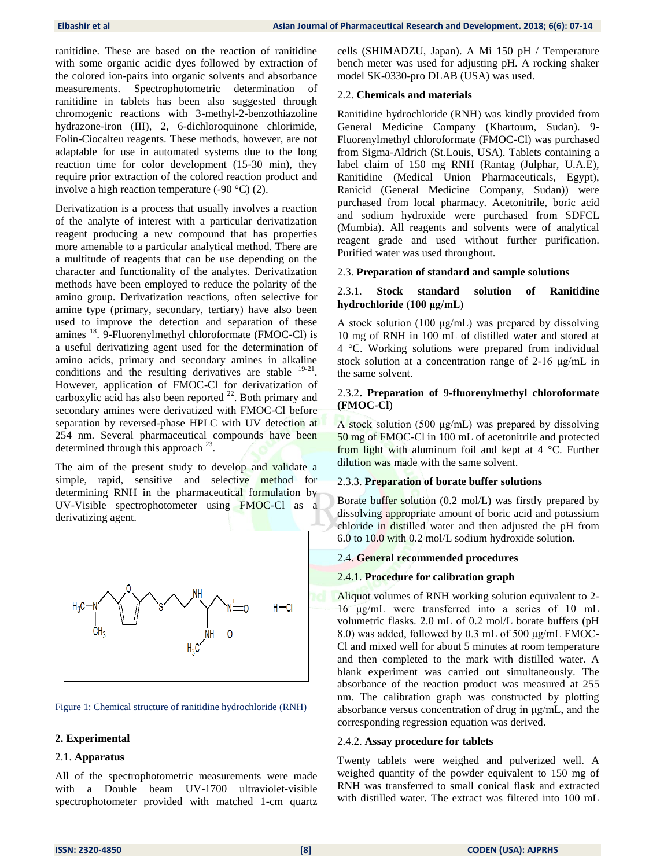ranitidine. These are based on the reaction of ranitidine with some organic acidic dyes followed by extraction of the colored ion-pairs into organic solvents and absorbance measurements. Spectrophotometric determination of ranitidine in tablets has been also suggested through chromogenic reactions with 3-methyl-2-benzothiazoline hydrazone-iron (III), 2, 6-dichloroquinone chlorimide, Folin-Ciocalteu reagents. These methods, however, are not adaptable for use in automated systems due to the long reaction time for color development (15-30 min), they require prior extraction of the colored reaction product and involve a high reaction temperature  $(-90 \degree C)$  (2).

Derivatization is a process that usually involves a reaction of the analyte of interest with a particular derivatization reagent producing a new compound that has properties more amenable to a particular analytical method. There are a multitude of reagents that can be use depending on the character and functionality of the analytes. Derivatization methods have been employed to reduce the polarity of the amino group. Derivatization reactions, often selective for amine type (primary, secondary, tertiary) have also been used to improve the detection and separation of these amines  $^{18}$ . 9-Fluorenylmethyl chloroformate (FMOC-Cl) is a useful derivatizing agent used for the determination of amino acids, primary and secondary amines in alkaline conditions and the resulting derivatives are stable <sup>19-21</sup>. However, application of FMOC-Cl for derivatization of carboxylic acid has also been reported  $^{22}$ . Both primary and secondary amines were derivatized with FMOC-Cl before separation by reversed-phase HPLC with UV detection at 254 nm. Several pharmaceutical compounds have been determined through this approach  $^{23}$ .

The aim of the present study to develop and validate a simple, rapid, sensitive and selective method for determining RNH in the pharmaceutical formulation by UV-Visible spectrophotometer using FMOC-Cl as a derivatizing agent.



Figure 1: Chemical structure of ranitidine hydrochloride (RNH)

## **2. Experimental**

## 2.1. **Apparatus**

All of the spectrophotometric measurements were made with a Double beam UV-1700 ultraviolet-visible spectrophotometer provided with matched 1-cm quartz cells (SHIMADZU, Japan). A Mi 150 pH / Temperature bench meter was used for adjusting pH. A rocking shaker model SK-0330-pro DLAB (USA) was used.

## 2.2. **Chemicals and materials**

Ranitidine hydrochloride (RNH) was kindly provided from General Medicine Company (Khartoum, Sudan). 9- Fluorenylmethyl chloroformate (FMOC-Cl) was purchased from Sigma-Aldrich (St.Louis, USA). Tablets containing a label claim of 150 mg RNH (Rantag (Julphar, U.A.E), Ranitidine (Medical Union Pharmaceuticals, Egypt), Ranicid (General Medicine Company, Sudan)) were purchased from local pharmacy. Acetonitrile, boric acid and sodium hydroxide were purchased from SDFCL (Mumbia). All reagents and solvents were of analytical reagent grade and used without further purification. Purified water was used throughout.

## 2.3. **Preparation of standard and sample solutions**

## 2.3.1. **Stock standard solution of Ranitidine hydrochloride (100 μg/mL)**

A stock solution (100 μg/mL) was prepared by dissolving 10 mg of RNH in 100 mL of distilled water and stored at 4 °C. Working solutions were prepared from individual stock solution at a concentration range of 2-16 μg/mL in the same solvent.

## 2.3.2**. Preparation of 9-fluorenylmethyl chloroformate (FMOC-Cl**)

A stock solution (500 μg/mL) was prepared by dissolving 50 mg of FMOC-Cl in 100 mL of acetonitrile and protected from light with aluminum foil and kept at 4 °C. Further dilution was made with the same solvent.

### 2.3.3. **Preparation of borate buffer solutions**

Borate buffer solution (0.2 mol/L) was firstly prepared by dissolving appropriate amount of boric acid and potassium chloride in distilled water and then adjusted the pH from 6.0 to 10.0 with 0.2 mol/L sodium hydroxide solution.

### 2.4. **General recommended procedures**

### 2.4.1. **Procedure for calibration graph**

Aliquot volumes of RNH working solution equivalent to 2- 16 μg/mL were transferred into a series of 10 mL volumetric flasks. 2.0 mL of 0.2 mol/L borate buffers (pH 8.0) was added, followed by 0.3 mL of 500 μg/mL FMOC-Cl and mixed well for about 5 minutes at room temperature and then completed to the mark with distilled water. A blank experiment was carried out simultaneously. The absorbance of the reaction product was measured at 255 nm. The calibration graph was constructed by plotting absorbance versus concentration of drug in μg/mL, and the corresponding regression equation was derived.

## 2.4.2. **Assay procedure for tablets**

Twenty tablets were weighed and pulverized well. A weighed quantity of the powder equivalent to 150 mg of RNH was transferred to small conical flask and extracted with distilled water. The extract was filtered into 100 mL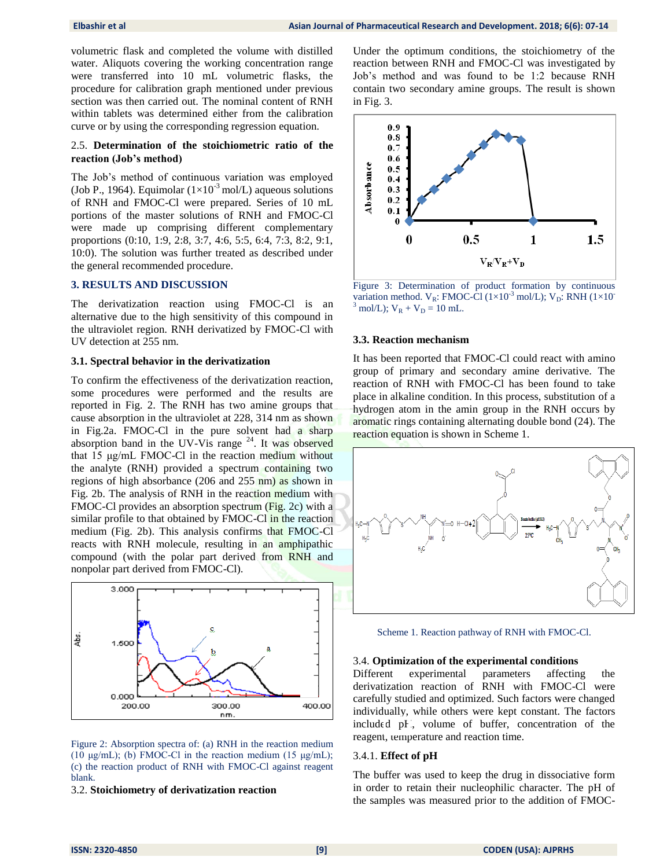volumetric flask and completed the volume with distilled water. Aliquots covering the working concentration range were transferred into 10 mL volumetric flasks, the procedure for calibration graph mentioned under previous section was then carried out. The nominal content of RNH within tablets was determined either from the calibration curve or by using the corresponding regression equation.

#### 2.5. **Determination of the stoichiometric ratio of the reaction (Job's method)**

The Job's method of continuous variation was employed (Job P., 1964). Equimolar  $(1\times10^{-3} \text{ mol/L})$  aqueous solutions of RNH and FMOC-Cl were prepared. Series of 10 mL portions of the master solutions of RNH and FMOC-Cl were made up comprising different complementary proportions (0:10, 1:9, 2:8, 3:7, 4:6, 5:5, 6:4, 7:3, 8:2, 9:1, 10:0). The solution was further treated as described under the general recommended procedure.

#### **3. RESULTS AND DISCUSSION**

The derivatization reaction using FMOC-Cl is an alternative due to the high sensitivity of this compound in the ultraviolet region. RNH derivatized by FMOC-Cl with UV detection at 255 nm.

#### **3.1. Spectral behavior in the derivatization**

To confirm the effectiveness of the derivatization reaction, some procedures were performed and the results are reported in Fig. 2. The RNH has two amine groups that cause absorption in the ultraviolet at 228, 314 nm as shown in Fig.2a. FMOC-Cl in the pure solvent had a sharp absorption band in the UV-Vis range  $24$ . It was observed that 15 μg/mL FMOC-Cl in the reaction medium without the analyte (RNH) provided a spectrum containing two regions of high absorbance (206 and 255 nm) as shown in Fig. 2b. The analysis of RNH in the reaction medium with FMOC-Cl provides an absorption spectrum (Fig. 2c) with a similar profile to that obtained by FMOC-Cl in the reaction medium (Fig. 2b). This analysis confirms that FMOC-Cl reacts with RNH molecule, resulting in an amphipathic compound (with the polar part derived from RNH and nonpolar part derived from FMOC-Cl).



Figure 2: Absorption spectra of: (a) RNH in the reaction medium (10 μg/mL); (b) FMOC-Cl in the reaction medium (15 μg/mL); (c) the reaction product of RNH with FMOC-Cl against reagent blank.

3.2. **Stoichiometry of derivatization reaction**

Under the optimum conditions, the stoichiometry of the reaction between RNH and FMOC-Cl was investigated by Job's method and was found to be 1:2 because RNH contain two secondary amine groups. The result is shown in Fig. 3.



Figure 3: Determination of product formation by continuous variation method.  $V_R$ : FMOC-Cl (1×10<sup>-3</sup> mol/L);  $V_D$ : RNH (1×10<sup>-1</sup>  $3 \text{ mol/L}$ ;  $V_R + V_D = 10 \text{ mL}$ .

#### **3.3. Reaction mechanism**

It has been reported that FMOC-Cl could react with amino group of primary and secondary amine derivative. The reaction of RNH with FMOC-Cl has been found to take place in alkaline condition. In this process, substitution of a hydrogen atom in the amin group in the RNH occurs by aromatic rings containing alternating double bond (24). The reaction equation is shown in Scheme 1.



Scheme 1. Reaction pathway of RNH with FMOC-Cl.

#### 3.4. **Optimization of the experimental conditions**

Different experimental parameters affecting the derivatization reaction of RNH with FMOC-Cl were carefully studied and optimized. Such factors were changed individually, while others were kept constant. The factors included pH, volume of buffer, concentration of the reagent, temperature and reaction time.

#### 3.4.1. **Effect of pH**

The buffer was used to keep the drug in dissociative form in order to retain their nucleophilic character. The pH of the samples was measured prior to the addition of FMOC-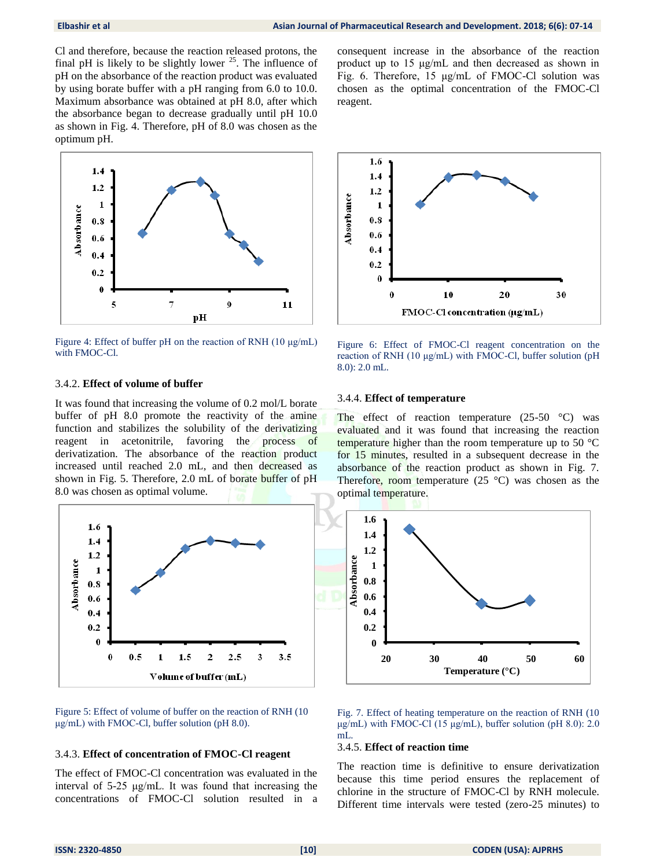Cl and therefore, because the reaction released protons, the final pH is likely to be slightly lower  $^{25}$ . The influence of pH on the absorbance of the reaction product was evaluated by using borate buffer with a pH ranging from 6.0 to 10.0. Maximum absorbance was obtained at pH 8.0, after which the absorbance began to decrease gradually until pH 10.0 as shown in Fig. 4. Therefore, pH of 8.0 was chosen as the optimum pH.



Figure 4: Effect of buffer pH on the reaction of RNH (10 μg/mL) with FMOC-Cl.

#### 3.4.2. **Effect of volume of buffer**

It was found that increasing the volume of 0.2 mol/L borate buffer of pH 8.0 promote the reactivity of the amine function and stabilizes the solubility of the derivatizing reagent in acetonitrile, favoring the process of derivatization. The absorbance of the reaction product increased until reached 2.0 mL, and then decreased as shown in Fig. 5. Therefore, 2.0 mL of borate buffer of pH 8.0 was chosen as optimal volume.



Figure 5: Effect of volume of buffer on the reaction of RNH (10 μg/mL) with FMOC-Cl, buffer solution (pH 8.0).

#### 3.4.3. **Effect of concentration of FMOC-Cl reagent**

The effect of FMOC-Cl concentration was evaluated in the interval of 5-25 μg/mL. It was found that increasing the concentrations of FMOC-Cl solution resulted in a consequent increase in the absorbance of the reaction product up to 15 μg/mL and then decreased as shown in Fig. 6. Therefore, 15 μg/mL of FMOC-Cl solution was chosen as the optimal concentration of the FMOC-Cl reagent.



Figure 6: Effect of FMOC-Cl reagent concentration on the reaction of RNH (10 μg/mL) with FMOC-Cl, buffer solution (pH 8.0): 2.0 mL.

#### 3.4.4. **Effect of temperature**

The effect of reaction temperature  $(25-50 \degree C)$  was evaluated and it was found that increasing the reaction temperature higher than the room temperature up to 50 °C for 15 minutes, resulted in a subsequent decrease in the absorbance of the reaction product as shown in Fig. 7. Therefore, room temperature  $(25 \text{ °C})$  was chosen as the optimal temperature.



Fig. 7. Effect of heating temperature on the reaction of RNH (10 μg/mL) with FMOC-Cl (15 μg/mL), buffer solution (pH 8.0): 2.0 mL.

## 3.4.5. **Effect of reaction time**

The reaction time is definitive to ensure derivatization because this time period ensures the replacement of chlorine in the structure of FMOC-Cl by RNH molecule. Different time intervals were tested (zero-25 minutes) to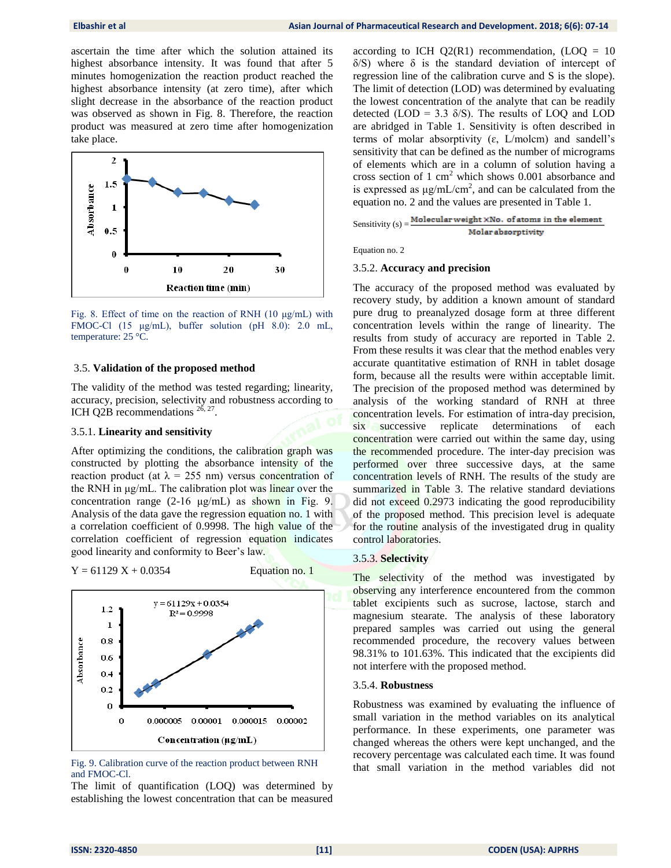ascertain the time after which the solution attained its highest absorbance intensity. It was found that after 5 minutes homogenization the reaction product reached the highest absorbance intensity (at zero time), after which slight decrease in the absorbance of the reaction product was observed as shown in Fig. 8. Therefore, the reaction product was measured at zero time after homogenization take place.



Fig. 8. Effect of time on the reaction of RNH (10 μg/mL) with FMOC-Cl (15 μg/mL), buffer solution (pH 8.0): 2.0 mL, temperature: 25 °C.

#### 3.5. **Validation of the proposed method**

The validity of the method was tested regarding; linearity, accuracy, precision, selectivity and robustness according to ICH Q2B recommendations  $^{26, 27}$ .

## 3.5.1. **Linearity and sensitivity**

After optimizing the conditions, the calibration graph was constructed by plotting the absorbance intensity of the reaction product (at  $\lambda = 255$  nm) versus concentration of the RNH in μg/mL. The calibration plot was linear over the concentration range  $(2-16 \mu g/mL)$  as shown in Fig. 9. Analysis of the data gave the regression equation no. 1 with a correlation coefficient of 0.9998. The high value of the correlation coefficient of regression equation indicates good linearity and conformity to Beer's law.

 $Y = 61129 X + 0.0354$  Equation no. 1



Fig. 9. Calibration curve of the reaction product between RNH and FMOC-Cl.

The limit of quantification (LOQ) was determined by establishing the lowest concentration that can be measured according to ICH  $Q2(R1)$  recommendation, (LOQ = 10  $\delta$ S) where  $\delta$  is the standard deviation of intercept of regression line of the calibration curve and S is the slope). The limit of detection (LOD) was determined by evaluating the lowest concentration of the analyte that can be readily detected (LOD = 3.3  $\delta$ /S). The results of LOQ and LOD are abridged in Table 1. Sensitivity is often described in terms of molar absorptivity  $(\varepsilon, L/molcm)$  and sandell's sensitivity that can be defined as the number of micrograms of elements which are in a column of solution having a cross section of 1 cm<sup>2</sup> which shows 0.001 absorbance and is expressed as  $\mu$ g/mL/cm<sup>2</sup>, and can be calculated from the equation no. 2 and the values are presented in Table 1.

Sensitivity  $(s) = \frac{\text{Molecular weight} \times \text{No. of atoms in the element}}{s}$ Molar absorptivity

Equation no. 2

#### 3.5.2. **Accuracy and precision**

The accuracy of the proposed method was evaluated by recovery study, by addition a known amount of standard pure drug to preanalyzed dosage form at three different concentration levels within the range of linearity. The results from study of accuracy are reported in Table 2. From these results it was clear that the method enables very accurate quantitative estimation of RNH in tablet dosage form, because all the results were within acceptable limit. The precision of the proposed method was determined by analysis of the working standard of RNH at three concentration levels. For estimation of intra-day precision, six successive replicate determinations of each concentration were carried out within the same day, using the recommended procedure. The inter-day precision was performed over three successive days, at the same concentration levels of RNH. The results of the study are summarized in Table 3. The relative standard deviations did not exceed 0.2973 indicating the good reproducibility of the proposed method. This precision level is adequate for the routine analysis of the investigated drug in quality control laboratories.

#### 3.5.3. **Selectivity**

The selectivity of the method was investigated by observing any interference encountered from the common tablet excipients such as sucrose, lactose, starch and magnesium stearate. The analysis of these laboratory prepared samples was carried out using the general recommended procedure, the recovery values between 98.31% to 101.63%. This indicated that the excipients did not interfere with the proposed method.

#### 3.5.4. **Robustness**

Robustness was examined by evaluating the influence of small variation in the method variables on its analytical performance. In these experiments, one parameter was changed whereas the others were kept unchanged, and the recovery percentage was calculated each time. It was found that small variation in the method variables did not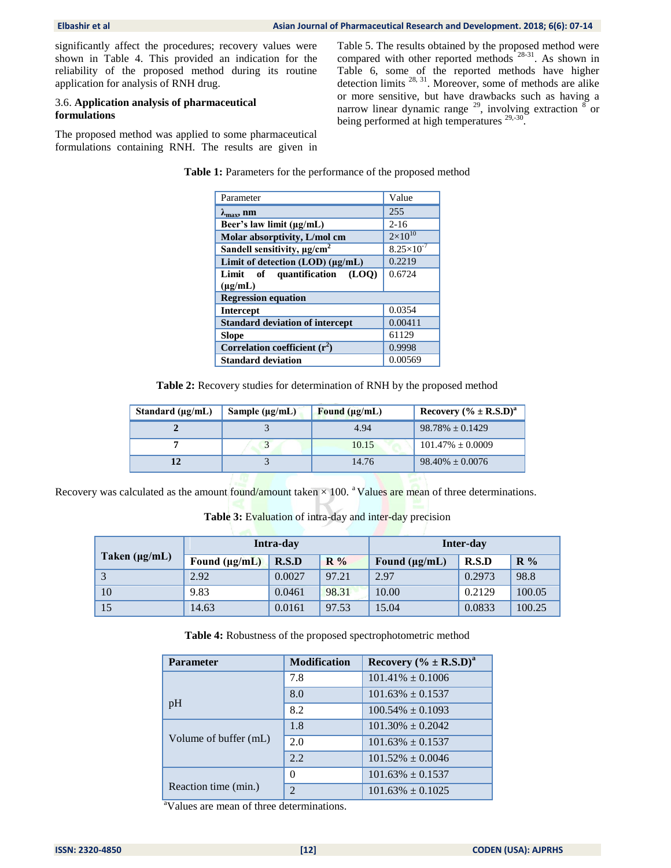significantly affect the procedures; recovery values were shown in Table 4. This provided an indication for the reliability of the proposed method during its routine application for analysis of RNH drug.

## 3.6. **Application analysis of pharmaceutical formulations**

The proposed method was applied to some pharmaceutical formulations containing RNH. The results are given in Table 5. The results obtained by the proposed method were compared with other reported methods <sup>28-31</sup>. As shown in Table 6, some of the reported methods have higher detection limits  $^{28, 31}$ . Moreover, some of methods are alike or more sensitive, but have drawbacks such as having a narrow linear dynamic range  $^{29}$ , involving extraction  $^{8}$  or being performed at high temperatures <sup>29,-30</sup>.

**Table 1:** Parameters for the performance of the proposed method

| Parameter                                       | Value                 |
|-------------------------------------------------|-----------------------|
| $\lambda_{\text{max}}$ , nm                     | 255                   |
| Beer's law limit $(\mu \mathbf{g}/m\mathbf{L})$ | $2 - 16$              |
| Molar absorptivity, L/mol cm                    | $2 \times 10^{10}$    |
| Sandell sensitivity, $\mu$ g/cm <sup>2</sup>    | $8.25 \times 10^{-7}$ |
| Limit of detection (LOD) (µg/mL)                | 0.2219                |
| Limit of quantification<br>(LOO)                | 0.6724                |
| $(\mu g/mL)$                                    |                       |
| <b>Regression equation</b>                      |                       |
| <b>Intercept</b>                                | 0.0354                |
| <b>Standard deviation of intercept</b>          | 0.00411               |
| <b>Slope</b>                                    | 61129                 |
| Correlation coefficient $(r^2)$                 | 0.9998                |
| <b>Standard deviation</b>                       | 0.00569               |

**Table 2:** Recovery studies for determination of RNH by the proposed method

| Standard $(\mu \varrho/mL)$ | Sample $(\mu g/mL)$ | Found $(\mu g/mL)$ | Recovery $(\% \pm R.S.D)^a$ |
|-----------------------------|---------------------|--------------------|-----------------------------|
|                             |                     | 4.94               | $98.78\% \pm 0.1429$        |
|                             |                     | 10.15              | $101.47\% \pm 0.0009$       |
|                             |                     | 14.76              | $98.40\% \pm 0.0076$        |

Recovery was calculated as the amount found/amount taken  $\times$  100. <sup>a</sup>Values are mean of three determinations.

**Table 3: Evaluation of intra-day and inter-day precision** 

|                    | Intra-day          |        |       | Inter-day          |        |                |
|--------------------|--------------------|--------|-------|--------------------|--------|----------------|
| Taken $(\mu g/mL)$ | Found $(\mu g/mL)$ | R.S.D  | $R\%$ | Found $(\mu g/mL)$ | R.S.D  | $\mathbf{R}$ % |
| 3                  | 2.92               | 0.0027 | 97.21 | 2.97               | 0.2973 | 98.8           |
| 10                 | 9.83               | 0.0461 | 98.31 | 10.00              | 0.2129 | 100.05         |
| 15                 | 14.63              | 0.0161 | 97.53 | 15.04              | 0.0833 | 100.25         |

**Table 4:** Robustness of the proposed spectrophotometric method

| <b>Parameter</b>      | <b>Modification</b> | Recovery $(\% \pm R.S.D)^a$ |
|-----------------------|---------------------|-----------------------------|
|                       | 7.8                 | $101.41\% \pm 0.1006$       |
| pH                    | 8.0                 | $101.63\% \pm 0.1537$       |
|                       | 8.2                 | $100.54\% \pm 0.1093$       |
| Volume of buffer (mL) | 1.8                 | $101.30\% + 0.2042$         |
|                       | 2.0                 | $101.63\% + 0.1537$         |
|                       | 2.2                 | $101.52\% \pm 0.0046$       |
| Reaction time (min.)  | $\Omega$            | $101.63\% \pm 0.1537$       |
|                       | $\mathfrak{D}$      | $101.63\% \pm 0.1025$       |

<sup>a</sup>Values are mean of three determinations.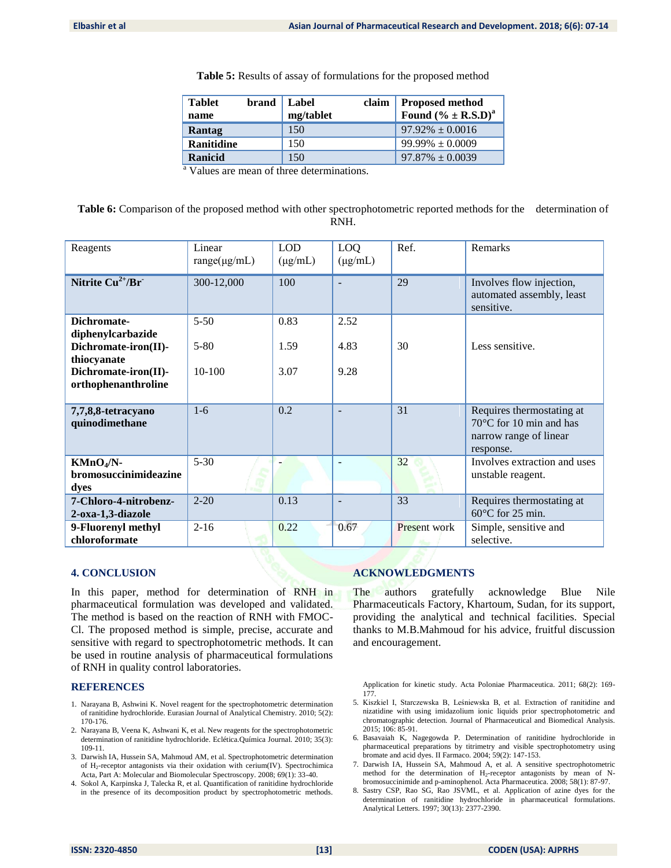| <b>Tablet</b><br>name | brand | Label<br>mg/tablet | claim | <b>Proposed method</b><br>Found $(% ^{b}$ (% ± R.S.D) <sup>a</sup> |
|-----------------------|-------|--------------------|-------|--------------------------------------------------------------------|
| Rantag                |       | 150                |       | $97.92\% \pm 0.0016$                                               |
| <b>Ranitidine</b>     |       | 150                |       | $99.99\% \pm 0.0009$                                               |
| Ranicid               |       | 150                |       | $97.87\% \pm 0.0039$                                               |

 $\frac{a}{a}$  Values are mean of three determinations.

| Table 6: Comparison of the proposed method with other spectrophotometric reported methods for the determination of |  |
|--------------------------------------------------------------------------------------------------------------------|--|
| RNH.                                                                                                               |  |

| Reagents                                          | Linear<br>$range(\mu g/mL)$ | <b>LOD</b><br>$(\mu g/mL)$ | LO <sub>Q</sub><br>$(\mu g/mL)$ | Ref.         | Remarks                                                                                               |
|---------------------------------------------------|-----------------------------|----------------------------|---------------------------------|--------------|-------------------------------------------------------------------------------------------------------|
| Nitrite $\overline{\mathrm{Cu}^{2+}/\mathrm{Br}}$ | 300-12,000                  | 100                        |                                 | 29           | Involves flow injection,<br>automated assembly, least<br>sensitive.                                   |
| Dichromate-<br>diphenylcarbazide                  | $5 - 50$                    | 0.83                       | 2.52                            |              |                                                                                                       |
| Dichromate-iron(II)-<br>thiocyanate               | $5 - 80$                    | 1.59                       | 4.83                            | 30           | Less sensitive.                                                                                       |
| Dichromate-iron(II)-<br>orthophenanthroline       | $10-100$                    | 3.07                       | 9.28                            |              |                                                                                                       |
| 7,7,8,8-tetracyano<br>quinodimethane              | $1 - 6$                     | 0.2                        |                                 | 31           | Requires thermostating at<br>$70^{\circ}$ C for 10 min and has<br>narrow range of linear<br>response. |
| $KMnO4/N-$<br>bromosuccinimideazine<br>dyes       | $5-30$                      |                            |                                 | 32           | Involves extraction and uses<br>unstable reagent.                                                     |
| 7-Chloro-4-nitrobenz-<br>2-oxa-1,3-diazole        | $2 - 20$                    | 0.13                       |                                 | 33           | Requires thermostating at<br>$60^{\circ}$ C for 25 min.                                               |
| 9-Fluorenyl methyl<br>chloroformate               | $2 - 16$                    | 0.22                       | 0.67                            | Present work | Simple, sensitive and<br>selective.                                                                   |

## **4. CONCLUSION**

In this paper, method for determination of RNH in pharmaceutical formulation was developed and validated. The method is based on the reaction of RNH with FMOC-Cl. The proposed method is simple, precise, accurate and sensitive with regard to spectrophotometric methods. It can be used in routine analysis of pharmaceutical formulations of RNH in quality control laboratories.

#### **REFERENCES**

- 1. Narayana B, Ashwini K. Novel reagent for the spectrophotometric determination of ranitidine hydrochloride. Eurasian Journal of Analytical Chemistry. 2010; 5(2): 170-176.
- 2. Narayana B, Veena K, Ashwani K, et al. New reagents for the spectrophotometric determination of ranitidine hydrochloride. Eclética.Química Journal. 2010; 35(3): 109-11.
- 3. Darwish IA, Hussein SA, Mahmoud AM, et al. Spectrophotometric determination of H2-receptor antagonists via their oxidation with cerium(IV). Spectrochimica Acta, Part A: Molecular and Biomolecular Spectroscopy. 2008; 69(1): 33-40.
- 4. Sokol A, Karpinska J, Talecka R, et al. Quantification of ranitidine hydrochloride in the presence of its decomposition product by spectrophotometric methods.

## **ACKNOWLEDGMENTS**

The authors gratefully acknowledge Blue Nile Pharmaceuticals Factory, Khartoum, Sudan, for its support, providing the analytical and technical facilities. Special thanks to M.B.Mahmoud for his advice, fruitful discussion and encouragement.

Application for kinetic study. Acta Poloniae Pharmaceutica. 2011; 68(2): 169- 177.

- 5. Kiszkiel I, Starczewska B, Leśniewska B, et al. Extraction of ranitidine and nizatidine with using imidazolium ionic liquids prior spectrophotometric and chromatographic detection. Journal of Pharmaceutical and Biomedical Analysis. 2015; 106: 85-91.
- 6. Basavaiah K, Nagegowda P. Determination of ranitidine hydrochloride in pharmaceutical preparations by titrimetry and visible spectrophotometry using bromate and acid dyes. II Farmaco. 2004; 59(2): 147-153.
- 7. Darwish IA, Hussein SA, Mahmoud A, et al. A sensitive spectrophotometric method for the determination of H<sub>2</sub>-receptor antagonists by mean of Nbromosuccinimide and p-aminophenol. Acta Pharmaceutica. 2008; 58(1): 87-97.
- 8. Sastry CSP, Rao SG, Rao JSVML, et al. Application of azine dyes for the determination of ranitidine hydrochloride in pharmaceutical formulations. Analytical Letters. 1997; 30(13): 2377-2390.